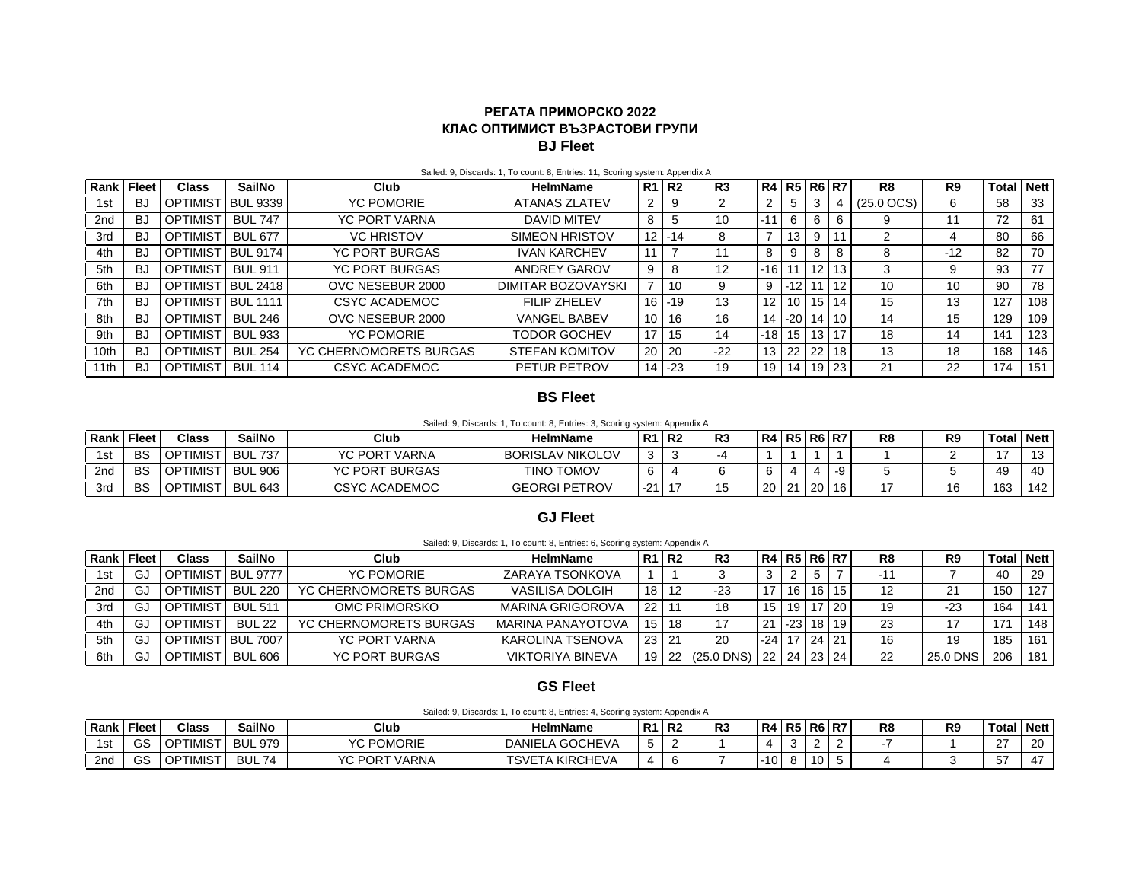## **РЕГАТА ПРИМОРСКО 2022 КЛАС ОПТИМИСТ ВЪЗРАСТОВИ ГРУПИ BJ Fleet**

| Rank | <b>Fleet</b> | Class           | SailNo          | <b>Club</b>            | <b>HelmName</b>           |                | R1 R2 | R <sub>3</sub>    | R4 R5 R6 R7 |          |    |    | R <sub>8</sub>  | R9    | Total | <b>Nett</b> |
|------|--------------|-----------------|-----------------|------------------------|---------------------------|----------------|-------|-------------------|-------------|----------|----|----|-----------------|-------|-------|-------------|
| 1st  | BJ           | <b>OPTIMIST</b> | <b>BUL 9339</b> | <b>YC POMORIE</b>      | <b>ATANAS ZLATEV</b>      | 2              | 9     |                   |             | 5        | 3  |    | $(25.0$ OCS $)$ |       | 58    | 33          |
| 2nd  | BJ           | <b>OPTIMIST</b> | <b>BUL 747</b>  | <b>YC PORT VARNA</b>   | <b>DAVID MITEV</b>        | 8              |       | 10                | $-11$       | 6        |    | 6  | 9               |       | 72    | 61          |
| 3rd  | BJ           | <b>OPTIMIST</b> | <b>BUL 677</b>  | <b>VC HRISTOV</b>      | SIMEON HRISTOV            | 12             | $-14$ | 8                 |             | 13       |    |    |                 |       | 80    | 66          |
| 4th  | BJ           | <b>OPTIMIST</b> | <b>BUL 9174</b> | <b>YC PORT BURGAS</b>  | <b>IVAN KARCHEV</b>       | 11             |       |                   | 8           | 9        |    | 8  | 8               | $-12$ | 82    | 70          |
| 5th  | BJ           | <b>OPTIMIST</b> | <b>BUL 911</b>  | <b>YC PORT BURGAS</b>  | ANDREY GAROV              | 9              | 8     | $12 \overline{ }$ | $-16$       |          | 12 | 13 | 3               |       | 93    | 77          |
| 6th  | BJ           | <b>OPTIMIST</b> | <b>BUL 2418</b> | OVC NESEBUR 2000       | <b>DIMITAR BOZOVAYSKI</b> | $\overline{ }$ | 10    | 9                 | 9           | $-12$    |    | 12 | 10              | 10    | 90    | 78          |
| 7th  | BJ           | OPTIMIST        | <b>BUL 1111</b> | CSYC ACADEMOC          | <b>FILIP ZHELEV</b>       | 16             | $-19$ | 13                |             | 10       | 15 | 14 | 15              | 13    | 127   | 108         |
| 8th  | BJ           | <b>OPTIMIST</b> | <b>BUL 246</b>  | OVC NESEBUR 2000       | <b>VANGEL BABEV</b>       | 10             | 16    | 16                | 14          | $-20$    | 14 | 10 | 14              | 15    | 129   | 109         |
| 9th  | BJ           | <b>OPTIMIST</b> | <b>BUL 933</b>  | <b>YC POMORIE</b>      | TODOR GOCHEV              | 17             | 15    | 14                |             | $-18$ 15 | 13 | 17 | 18              | 14    | 141   | 123         |
| 10th | BJ           | <b>OPTIMIST</b> | <b>BUL 254</b>  | YC CHERNOMORETS BURGAS | <b>STEFAN KOMITOV</b>     | 20             | -20   | $-22$             | 13          | 22       | 22 | 18 | 13              | 18    | 168   | 146         |
| 11th | BJ           | <b>OPTIMIST</b> | <b>BUL 114</b>  | CSYC ACADEMOC          | PETUR PETROV              | 14             | $-23$ | 19                | 19          | 14       | 19 | 23 | 21              | 22    | 174   | 151         |

#### Sailed: 9, Discards: 1, To count: 8, Entries: 11, Scoring system: Appendix A

### **BS Fleet**

Sailed: 9, Discards: 1, To count: 8, Entries: 3, Scoring system: Appendix A

| Rank | <b>Fleet</b> | Class                                          | <b>SailNo</b>  | Club                  | <b>HelmName</b>         | - R1        | <b>R2</b> | D0.<br>кə |    | R4 R5 | R <sub>6</sub> | <b>R7</b> | R <sub>8</sub> | R <sub>9</sub> | Total | <b>Nett</b>     |
|------|--------------|------------------------------------------------|----------------|-----------------------|-------------------------|-------------|-----------|-----------|----|-------|----------------|-----------|----------------|----------------|-------|-----------------|
|      | BS           | <b>IMIST</b><br>OPTI                           | <b>BUL 737</b> | YC PORT VARNA         | <b>BORISLAV NIKOLOV</b> | $\sim$<br>v |           |           |    |       |                |           |                |                |       | $\sqrt{2}$<br>◡ |
| 2nd  | <b>BS</b>    | <b>OPTIMIST</b>                                | <b>BUL 906</b> | <b>YC PORT BURGAS</b> | TINO TOMOV              |             |           |           |    |       |                | -9        |                |                | 49    | 40              |
| 3rd  | <b>BS</b>    | <b>MIST</b><br>$\overline{\phantom{a}}$ I OPT" | <b>BUL 643</b> | <b>CSYC ACADEMOC</b>  | <b>GEORGI PETROV</b>    | $-21$       |           |           | 20 | 21    | -20            | 16        |                | $\overline{ }$ | 163   | 142             |

## **GJ Fleet**

Sailed: 9, Discards: 1, To count: 8, Entries: 6, Scoring system: Appendix A

| l Rank | Fleet | Class                | SailNo           | Club                   | <b>HelmName</b>         | R1 R2 |     | R3           | R4  |       |    | <b>R5 R6 R7</b> | R8 | R9       | Total | <b>Nett</b> |
|--------|-------|----------------------|------------------|------------------------|-------------------------|-------|-----|--------------|-----|-------|----|-----------------|----|----------|-------|-------------|
| 1st    | G.    | <b>OPTIMIST</b>      | <b>BUL 9777</b>  | YC POMORIE             | ZARAYA TSONKOVA         |       |     |              |     |       |    |                 |    |          | 40    | 29          |
| 2nd    | G.    | OPTIMIS <sup>-</sup> | <b>BUL 220</b>   | YC CHERNOMORETS BURGAS | VASILISA DOLGIH         | 18    | 12  | $-23$        |     | 16    | 16 | 15              | 12 |          | 150   | 127         |
| 3rd    | G.    | <b>OPTIMIS</b>       | <b>BUL 511</b>   | OMC PRIMORSKO          | MARINA GRIGOROVA        | 22    |     |              | 15  | 19    |    | $ 20\rangle$    | 19 | -23      | 164   | 141         |
| 4th    | G.    | OPTIMIS <sup>-</sup> | <b>BUL 22</b>    | YC CHERNOMORETS BURGAS | MARINA PANAYOTOVA       | 15    | -18 |              |     | $-23$ | 18 | 19              | 23 |          | 171   | 148         |
| 5th    | G.    | OPTIMIS <sup>-</sup> | $-7007$<br>' BUL | YC PORT VARNA          | KAROLINA TSENOVA        | 23.   | -21 | 20           | -24 |       |    | 24   21         | 16 | 19       | 185   | 161         |
| 6th    | GJ    | <b>IMIS</b>          | <b>BUL 606</b>   | <b>YC PORT BURGAS</b>  | <b>VIKTORIYA BINEVA</b> | 19    | -22 | $(25.0$ DNS) | 22  | -24 I |    | $23 \mid 24$    | 22 | 25.0 DNS | 206   | 181         |

# **GS Fleet**

| Sailed: 9, Discards: 1, To count: 8, Entries: 4, Scoring system: Appendix A |  |
|-----------------------------------------------------------------------------|--|
|-----------------------------------------------------------------------------|--|

| Rank | Fleet        | <b>Class</b>    | <b>SailNo</b>    | Club                 | <b>HelmName</b>                  | R <sub>1</sub> | <b>R2</b> | nn<br>гJ | <b>R41</b> | <b>R5</b> |           | <b>R6 R7</b> | R8 | R <sub>9</sub> | Tota   | <b>Nett</b>  |
|------|--------------|-----------------|------------------|----------------------|----------------------------------|----------------|-----------|----------|------------|-----------|-----------|--------------|----|----------------|--------|--------------|
| 1st  | $\sim$<br>55 | <b>OPTIMIST</b> | <b>BUL 979</b>   | <b>YC POMORIE</b>    | DANIELA GOCHEVA                  | ∽<br>v         |           |          |            |           |           |              |    |                | $\sim$ | -20          |
| 2nd  | $\sim$<br>50 | <b>OPTIMIST</b> | <b>BUL</b><br>74 | <b>YC PORT VARNA</b> | <b>TSVETA</b><br><b>KIRCHEVA</b> | <b>A</b>       |           |          | ιv         | o         | 10<br>τυ. | ັ            |    |                | $ -$   | $\mathbf{A}$ |